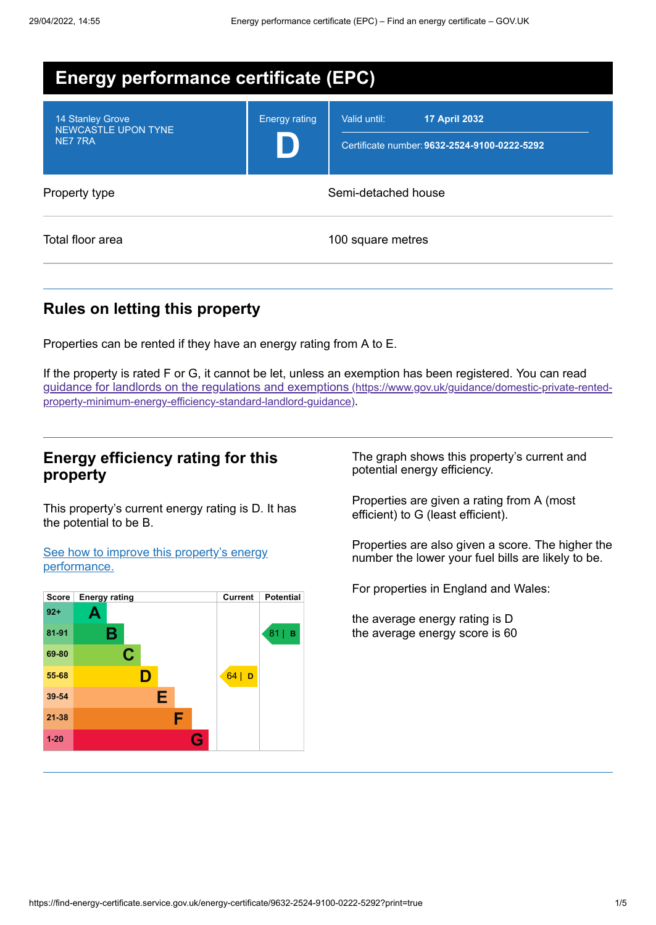| <b>Energy performance certificate (EPC)</b>               |                      |                                                                                      |  |
|-----------------------------------------------------------|----------------------|--------------------------------------------------------------------------------------|--|
| 14 Stanley Grove<br><b>NEWCASTLE UPON TYNE</b><br>NE7 7RA | <b>Energy rating</b> | Valid until:<br><b>17 April 2032</b><br>Certificate number: 9632-2524-9100-0222-5292 |  |
| Property type                                             | Semi-detached house  |                                                                                      |  |
| Total floor area                                          |                      | 100 square metres                                                                    |  |

## **Rules on letting this property**

Properties can be rented if they have an energy rating from A to E.

If the property is rated F or G, it cannot be let, unless an exemption has been registered. You can read guidance for landlords on the regulations and exemptions (https://www.gov.uk/guidance/domestic-private-rented[property-minimum-energy-efficiency-standard-landlord-guidance\)](https://www.gov.uk/guidance/domestic-private-rented-property-minimum-energy-efficiency-standard-landlord-guidance).

### **Energy efficiency rating for this property**

This property's current energy rating is D. It has the potential to be B.

See how to improve this property's energy [performance.](#page-2-0)



The graph shows this property's current and potential energy efficiency.

Properties are given a rating from A (most efficient) to G (least efficient).

Properties are also given a score. The higher the number the lower your fuel bills are likely to be.

For properties in England and Wales:

the average energy rating is D the average energy score is 60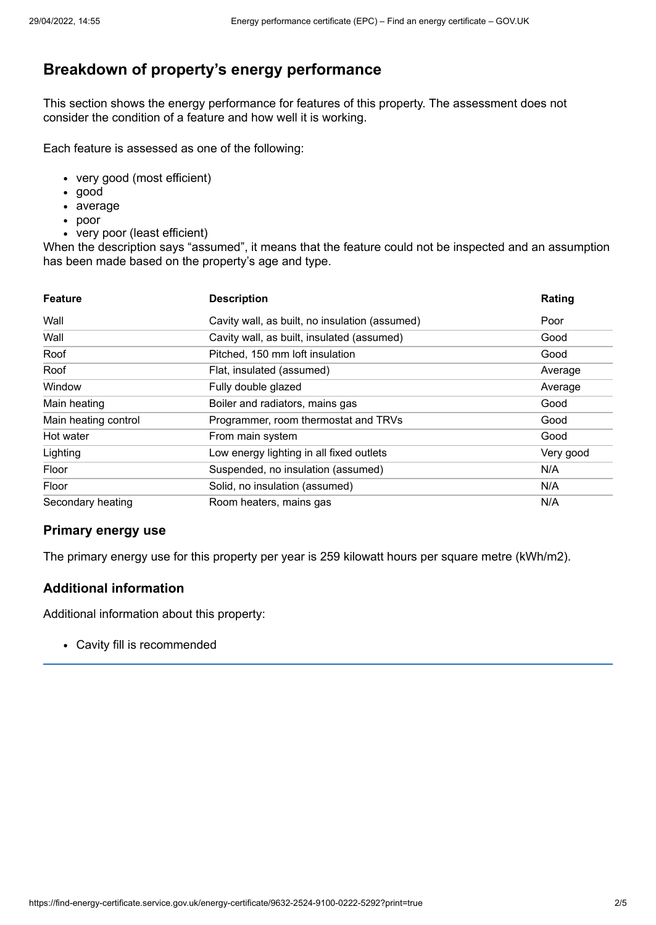## **Breakdown of property's energy performance**

This section shows the energy performance for features of this property. The assessment does not consider the condition of a feature and how well it is working.

Each feature is assessed as one of the following:

- very good (most efficient)
- good
- average
- poor
- very poor (least efficient)

When the description says "assumed", it means that the feature could not be inspected and an assumption has been made based on the property's age and type.

| <b>Feature</b>       | <b>Description</b>                             | Rating    |
|----------------------|------------------------------------------------|-----------|
| Wall                 | Cavity wall, as built, no insulation (assumed) | Poor      |
| Wall                 | Cavity wall, as built, insulated (assumed)     | Good      |
| Roof                 | Pitched, 150 mm loft insulation                | Good      |
| Roof                 | Flat, insulated (assumed)                      | Average   |
| Window               | Fully double glazed                            | Average   |
| Main heating         | Boiler and radiators, mains gas                | Good      |
| Main heating control | Programmer, room thermostat and TRVs           | Good      |
| Hot water            | From main system                               | Good      |
| Lighting             | Low energy lighting in all fixed outlets       | Very good |
| Floor                | Suspended, no insulation (assumed)             | N/A       |
| Floor                | Solid, no insulation (assumed)                 | N/A       |
| Secondary heating    | Room heaters, mains gas                        | N/A       |

#### **Primary energy use**

The primary energy use for this property per year is 259 kilowatt hours per square metre (kWh/m2).

#### **Additional information**

Additional information about this property:

Cavity fill is recommended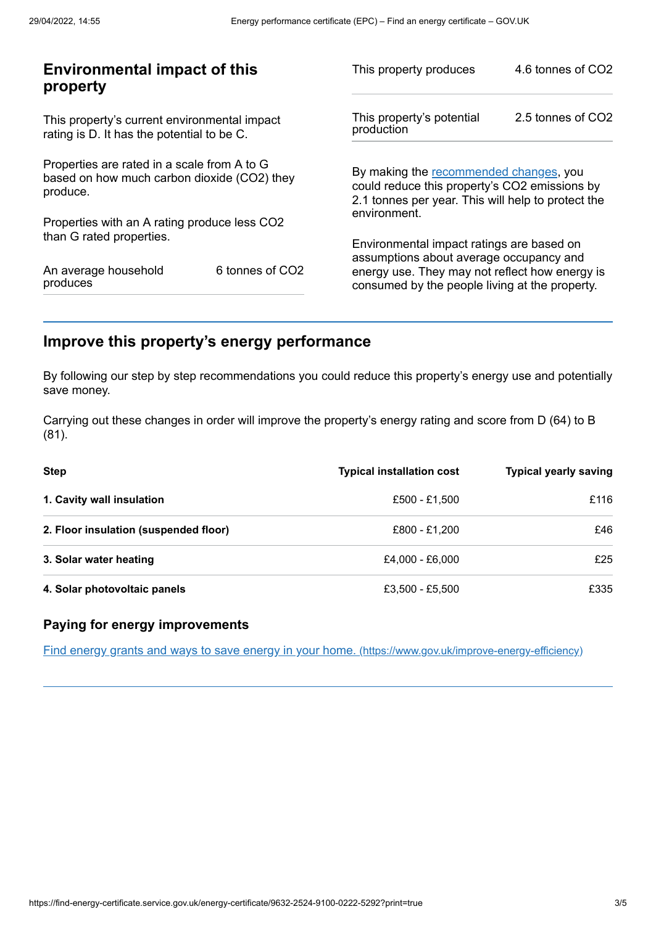| <b>Environmental impact of this</b><br>property                                                        |                 | This property produces                                                                                                                        | 4.6 tonnes of CO2 |
|--------------------------------------------------------------------------------------------------------|-----------------|-----------------------------------------------------------------------------------------------------------------------------------------------|-------------------|
| This property's current environmental impact<br>rating is D. It has the potential to be C.             |                 | This property's potential<br>production                                                                                                       | 2.5 tonnes of CO2 |
| Properties are rated in a scale from A to G<br>based on how much carbon dioxide (CO2) they<br>produce. |                 | By making the recommended changes, you<br>could reduce this property's CO2 emissions by<br>2.1 tonnes per year. This will help to protect the |                   |
| Properties with an A rating produce less CO2                                                           |                 | environment.                                                                                                                                  |                   |
| than G rated properties.                                                                               |                 | Environmental impact ratings are based on<br>assumptions about average occupancy and                                                          |                   |
| An average household<br>produces                                                                       | 6 tonnes of CO2 | energy use. They may not reflect how energy is<br>consumed by the people living at the property.                                              |                   |
|                                                                                                        |                 |                                                                                                                                               |                   |

## <span id="page-2-0"></span>**Improve this property's energy performance**

By following our step by step recommendations you could reduce this property's energy use and potentially save money.

Carrying out these changes in order will improve the property's energy rating and score from D (64) to B (81).

| <b>Step</b>                           | <b>Typical installation cost</b> | <b>Typical yearly saving</b> |
|---------------------------------------|----------------------------------|------------------------------|
| 1. Cavity wall insulation             | £500 - £1.500                    | £116                         |
| 2. Floor insulation (suspended floor) | £800 - £1.200                    | £46                          |
| 3. Solar water heating                | £4.000 - £6.000                  | £25                          |
| 4. Solar photovoltaic panels          | £3,500 - £5,500                  | £335                         |

#### **Paying for energy improvements**

Find energy grants and ways to save energy in your home. [\(https://www.gov.uk/improve-energy-efficiency\)](https://www.gov.uk/improve-energy-efficiency)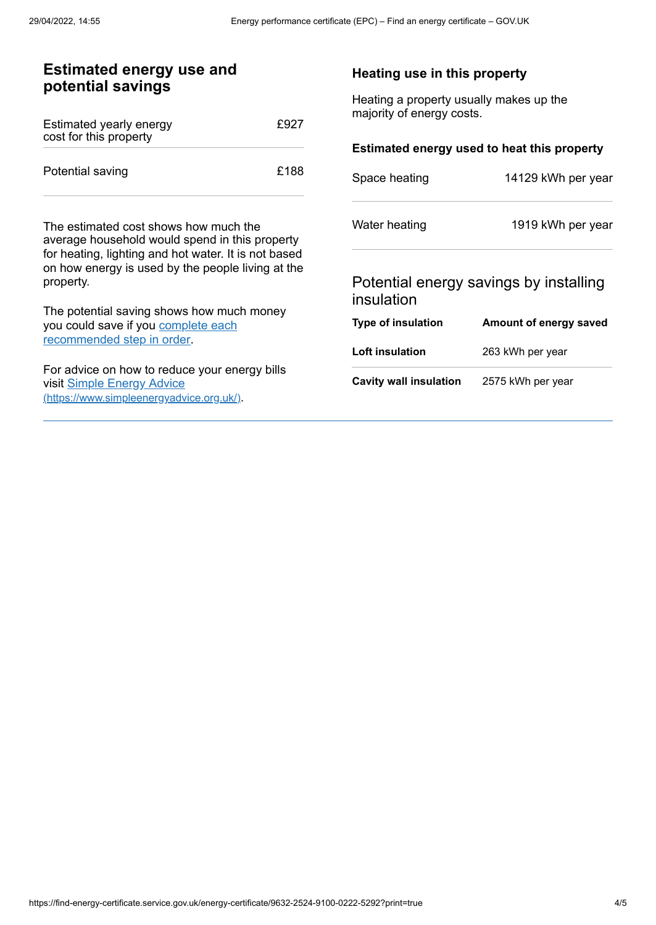| <b>Estimated energy use and</b><br>potential savings                                                                                                                                                 |      | Heating use in this property                                         |                                             |
|------------------------------------------------------------------------------------------------------------------------------------------------------------------------------------------------------|------|----------------------------------------------------------------------|---------------------------------------------|
| Estimated yearly energy<br>cost for this property                                                                                                                                                    | £927 | Heating a property usually makes up the<br>majority of energy costs. |                                             |
|                                                                                                                                                                                                      |      |                                                                      | Estimated energy used to heat this property |
| Potential saving                                                                                                                                                                                     | £188 | Space heating                                                        | 14129 kWh per year                          |
| The estimated cost shows how much the<br>average household would spend in this property<br>for heating, lighting and hot water. It is not based<br>on how energy is used by the people living at the |      | Water heating                                                        | 1919 kWh per year                           |
| property.                                                                                                                                                                                            |      | insulation                                                           | Potential energy savings by installing      |
| The potential saving shows how much money<br>you could save if you complete each                                                                                                                     |      | Type of insulation                                                   | Amount of energy saved                      |
| recommended step in order.                                                                                                                                                                           |      | Loft insulation                                                      | 263 kWh per year                            |
| For advice on how to reduce your energy bills<br>visit Simple Energy Advice<br>(https://www.simpleenergyadvice.org.uk/).                                                                             |      | <b>Cavity wall insulation</b>                                        | 2575 kWh per year                           |